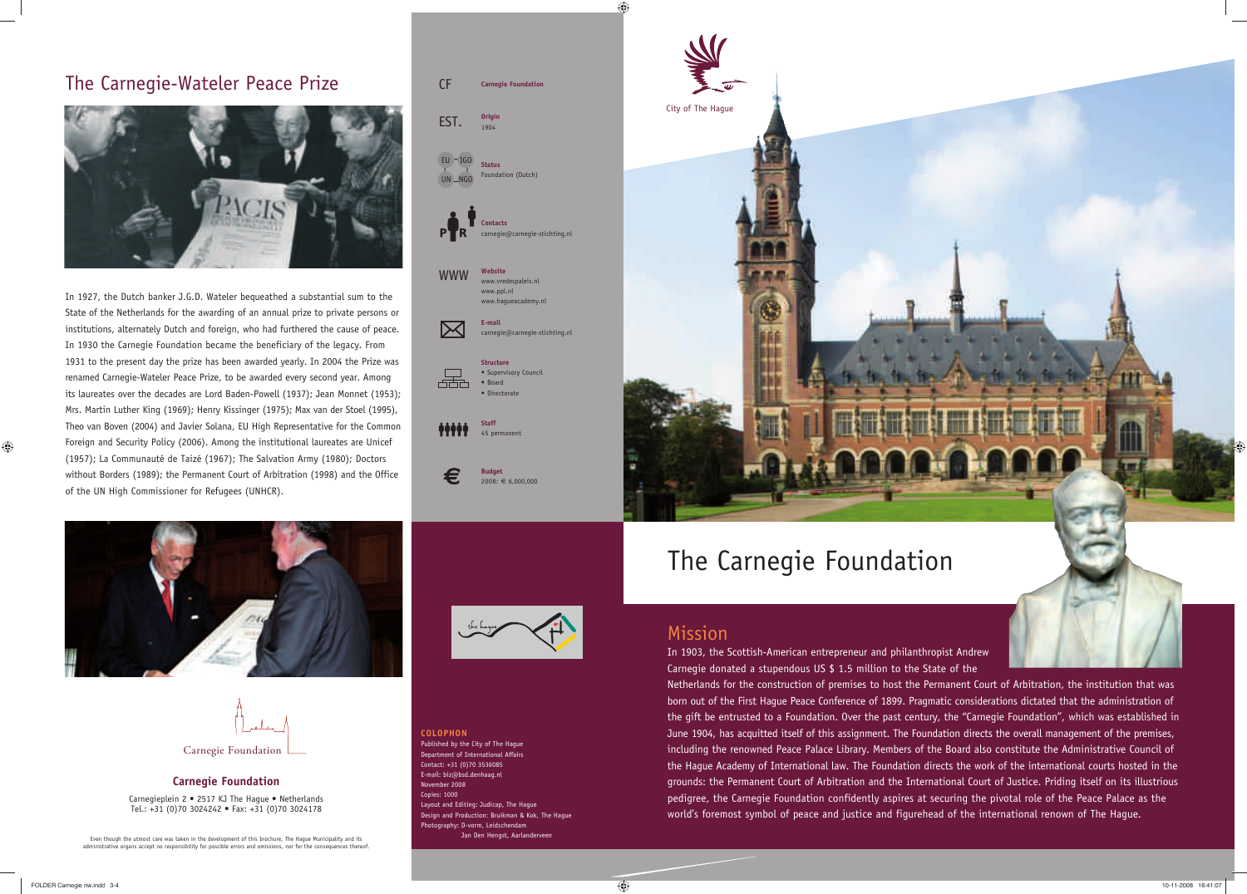### The Carnegie-Wateler Peace Prize



In 1927, the Dutch banker J.G.D. Wateler bequeathed a substantial sum to the State of the Netherlands for the awarding of an annual prize to private persons or institutions, alternately Dutch and foreign, who had furthered the cause of peace. In 1930 the Carnegie Foundation became the beneficiary of the legacy. From 1931 to the present day the prize has been awarded yearly. In 2004 the Prize was renamed Carnegie-Wateler Peace Prize, to be awarded every second year. Among its laureates over the decades are Lord Baden-Powell (1937); Jean Monnet (1953); Mrs. Martin Luther King (1969); Henry Kissinger (1975); Max van der Stoel (1995), Theo van Boven (2004) and Javier Solana, EU High Representative for the Common Foreign and Security Policy (2006). Among the institutional laureates are Unicef (1957); La Communauté de Taizé (1967); The Salvation Army (1980); Doctors without Borders (1989); the Permanent Court of Arbitration (1998) and the Office of the UN High Commissioner for Refugees (UNHCR).



### **Carnegie Foundation**

Carnegieplein 2 • 2517 KJ The Hague • Netherlands Tel.: +31 (0)70 3024242 • Fax: +31 (0)70 3024178

Even though the utmost care was taken in the development of this brochure, The Hague Municipality and its **Internal Communiciality and its** Jan Den Hengst, Aarlanderveen administrative organs accept no responsibility for possible errors and omissions, nor for the consequences thereof

### Mission

**Staff** iiii 45 permanent

**Structure** • Supervisory Council • Board • Directorat

**Budget**  $2008: \in 6,000,000$ 

> In 1903, the Scottish-American entrepreneur and philanthropist Andrew Carnegie donated a stupendous US \$ 1.5 million to the State of the Netherlands for the construction of premises to host the Permanent Court of Arbitration, the institution that was born out of the First Hague Peace Conference of 1899. Pragmatic considerations dictated that the administration of the gift be entrusted to a Foundation. Over the past century, the "Carnegie Foundation", which was established in June 1904, has acquitted itself of this assignment. The Foundation directs the overall management of the premises, including the renowned Peace Palace Library. Members of the Board also constitute the Administrative Council of the Hague Academy of International law. The Foundation directs the work of the international courts hosted in the grounds: the Permanent Court of Arbitration and the International Court of Justice. Priding itself on its illustrious pedigree, the Carnegie Foundation confidently aspires at securing the pivotal role of the Peace Palace as the world's foremost symbol of peace and justice and figurehead of the international renown of The Hague.

 $\bigoplus$ 

**COLOPHON**

Published by the City of The Hague Department of International Affairs Contact: +31 (0)70 3536085 E-mail: biz@bsd.denhaag.nl

November 2008 Copies: 1000

Layout and Editing: Judicap, The Hague

Design and Production: Bruikman & Kok, The Hague

Photography: D-vorm, Leidschendam

www.vredespaleis.nl www.ppl.nl www.hagueacademy.nl

**E-mail**



666

€

carnegie@carnegie-stichting.nl



# The Carnegie Foundation